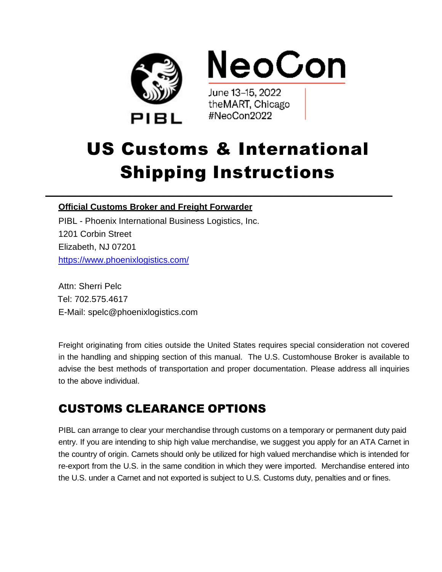

# US Customs & International Shipping Instructions

**\_\_\_\_\_\_\_\_\_\_\_\_\_\_\_\_\_\_\_\_\_\_\_\_\_\_\_\_\_\_\_\_\_\_\_\_\_\_\_\_\_\_\_\_\_\_\_\_\_\_\_\_\_\_\_\_\_\_\_\_\_\_\_\_\_\_\_\_\_\_\_\_**

#### **Official Customs Broker and Freight Forwarder**

PIBL - Phoenix International Business Logistics, Inc. 1201 Corbin Street Elizabeth, NJ 07201 <https://www.phoenixlogistics.com/>

Attn: Sherri Pelc Tel: 702.575.4617 E-Mail: spelc@phoenixlogistics.com

Freight originating from cities outside the United States requires special consideration not covered in the handling and shipping section of this manual. The U.S. Customhouse Broker is available to advise the best methods of transportation and proper documentation. Please address all inquiries to the above individual.

## CUSTOMS CLEARANCE OPTIONS

PIBL can arrange to clear your merchandise through customs on a temporary or permanent duty paid entry. If you are intending to ship high value merchandise, we suggest you apply for an ATA Carnet in the country of origin. Carnets should only be utilized for high valued merchandise which is intended for re-export from the U.S. in the same condition in which they were imported. Merchandise entered into the U.S. under a Carnet and not exported is subject to U.S. Customs duty, penalties and or fines.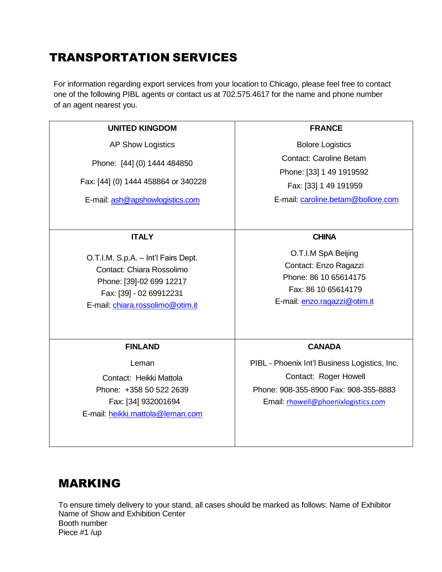## TRANSPORTATION SERVICES

For information regarding export services from your location to Chicago, please feel free to contact one of the following PIBL agents or contact us at 702.575.4617 for the name and phone number of an agent nearest you.

| <b>UNITED KINGDOM</b>                                                                                                                                       | <b>FRANCE</b>                                                                                                                                          |
|-------------------------------------------------------------------------------------------------------------------------------------------------------------|--------------------------------------------------------------------------------------------------------------------------------------------------------|
| <b>AP Show Logistics</b>                                                                                                                                    | <b>Bolore Logistics</b>                                                                                                                                |
| Phone: [44] (0) 1444 484850<br>Fax: [44] (0) 1444 458864 or 340228<br>E-mail: ash@apshowlogistics.com                                                       | <b>Contact: Caroline Betam</b><br>Phone: [33] 1 49 1919592<br>Fax: [33] 1 49 191959<br>E-mail: caroline.betam@bollore.com                              |
| <b>ITALY</b>                                                                                                                                                | <b>CHINA</b>                                                                                                                                           |
| O.T.I.M. S.p.A. - Int'l Fairs Dept.<br>Contact: Chiara Rossolimo<br>Phone: [39]-02 699 12217<br>Fax: [39] - 02 69912231<br>E-mail: chiara.rossolimo@otim.it | O.T.I.M SpA Beijing<br>Contact: Enzo Ragazzi<br>Phone: 86 10 65614175<br>Fax: 86 10 65614179<br>E-mail: enzo.ragazzi@otim.it                           |
| <b>FINLAND</b>                                                                                                                                              | <b>CANADA</b>                                                                                                                                          |
| Leman<br>Contact: Heikki Mattola<br>Phone: +358 50 522 2639<br>Fax: [34] 932001694<br>E-mail: heikki.mattola@leman.com                                      | PIBL - Phoenix Int'l Business Logistics, Inc.<br>Contact: Roger Howell<br>Phone: 908-355-8900 Fax: 908-355-8883<br>Email: rhowell@phoenixlogistics.com |

### MARKING

To ensure timely delivery to your stand, all cases should be marked as follows: Name of Exhibitor Name of Show and Exhibition Center Booth number Piece #1 /up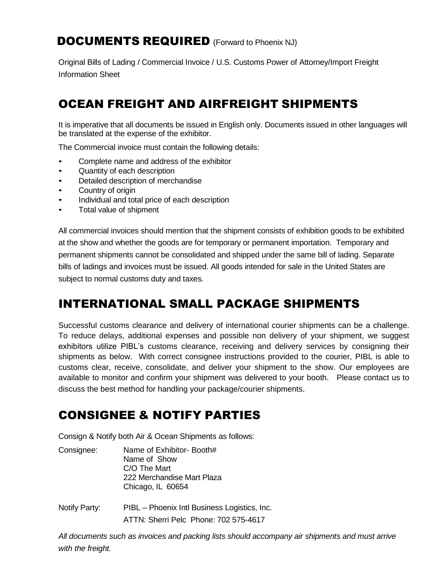#### DOCUMENTS REQUIRED (Forward to Phoenix NJ)

Original Bills of Lading / Commercial Invoice / U.S. Customs Power of Attorney/Import Freight Information Sheet

## OCEAN FREIGHT AND AIRFREIGHT SHIPMENTS

It is imperative that all documents be issued in English only. Documents issued in other languages will be translated at the expense of the exhibitor.

The Commercial invoice must contain the following details:

- Complete name and address of the exhibitor
- Quantity of each description
- Detailed description of merchandise
- Country of origin
- Individual and total price of each description
- Total value of shipment

All commercial invoices should mention that the shipment consists of exhibition goods to be exhibited at the show and whether the goods are for temporary or permanent importation. Temporary and permanent shipments cannot be consolidated and shipped under the same bill of lading. Separate bills of ladings and invoices must be issued. All goods intended for sale in the United States are subject to normal customs duty and taxes.

#### INTERNATIONAL SMALL PACKAGE SHIPMENTS

Successful customs clearance and delivery of international courier shipments can be a challenge. To reduce delays, additional expenses and possible non delivery of your shipment, we suggest exhibitors utilize PIBL's customs clearance, receiving and delivery services by consigning their shipments as below. With correct consignee instructions provided to the courier, PIBL is able to customs clear, receive, consolidate, and deliver your shipment to the show. Our employees are available to monitor and confirm your shipment was delivered to your booth. Please contact us to discuss the best method for handling your package/courier shipments.

#### CONSIGNEE & NOTIFY PARTIES

Consign & Notify both Air & Ocean Shipments as follows:

- Consignee: Name of Exhibitor- Booth# Name of Show C/O The Mart 222 Merchandise Mart Plaza Chicago, IL 60654
- Notify Party: PIBL Phoenix Intl Business Logistics, Inc. ATTN: Sherri Pelc Phone: 702 575-4617

*All documents such as invoices and packing lists should accompany air shipments and must arrive with the freight.*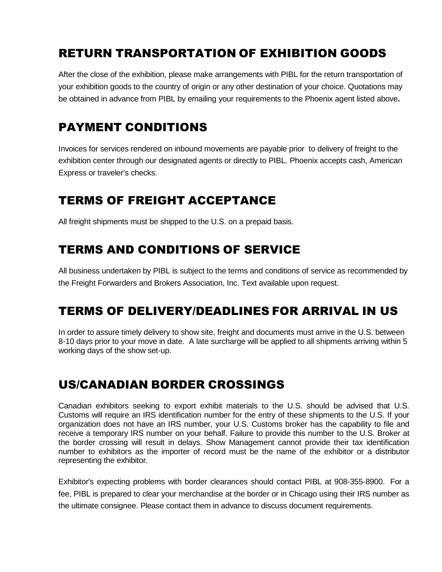## RETURN TRANSPORTATION OF EXHIBITION GOODS

After the close of the exhibition, please make arrangements with PIBL for the return transportation of your exhibition goods to the country of origin or any other destination of your choice. Quotations may be obtained in advance from PIBL by emailing your requirements to the Phoenix agent listed above**.**

## PAYMENT CONDITIONS

Invoices for services rendered on inbound movements are payable prior to delivery of freight to the exhibition center through our designated agents or directly to PIBL. Phoenix accepts cash, American Express or traveler's checks.

## TERMS OF FREIGHT ACCEPTANCE

All freight shipments must be shipped to the U.S. on a prepaid basis.

### TERMS AND CONDITIONS OF SERVICE

All business undertaken by PIBL is subject to the terms and conditions of service as recommended by the Freight Forwarders and Brokers Association, Inc. Text available upon request.

#### TERMS OF DELIVERY/DEADLINES FOR ARRIVAL IN US

In order to assure timely delivery to show site, freight and documents must arrive in the U.S. between 8-10 days prior to your move in date. A late surcharge will be applied to all shipments arriving within 5 working days of the show set-up.

### US/CANADIAN BORDER CROSSINGS

Canadian exhibitors seeking to export exhibit materials to the U.S. should be advised that U.S. Customs will require an IRS identification number for the entry of these shipments to the U.S. If your organization does not have an IRS number, your U.S. Customs broker has the capability to file and receive a temporary IRS number on your behalf. Failure to provide this number to the U.S. Broker at the border crossing will result in delays. Show Management cannot provide their tax identification number to exhibitors as the importer of record must be the name of the exhibitor or a distributor representing the exhibitor.

Exhibitor's expecting problems with border clearances should contact PIBL at 908-355-8900. For a fee, PIBL is prepared to clear your merchandise at the border or in Chicago using their IRS number as the ultimate consignee. Please contact them in advance to discuss document requirements.